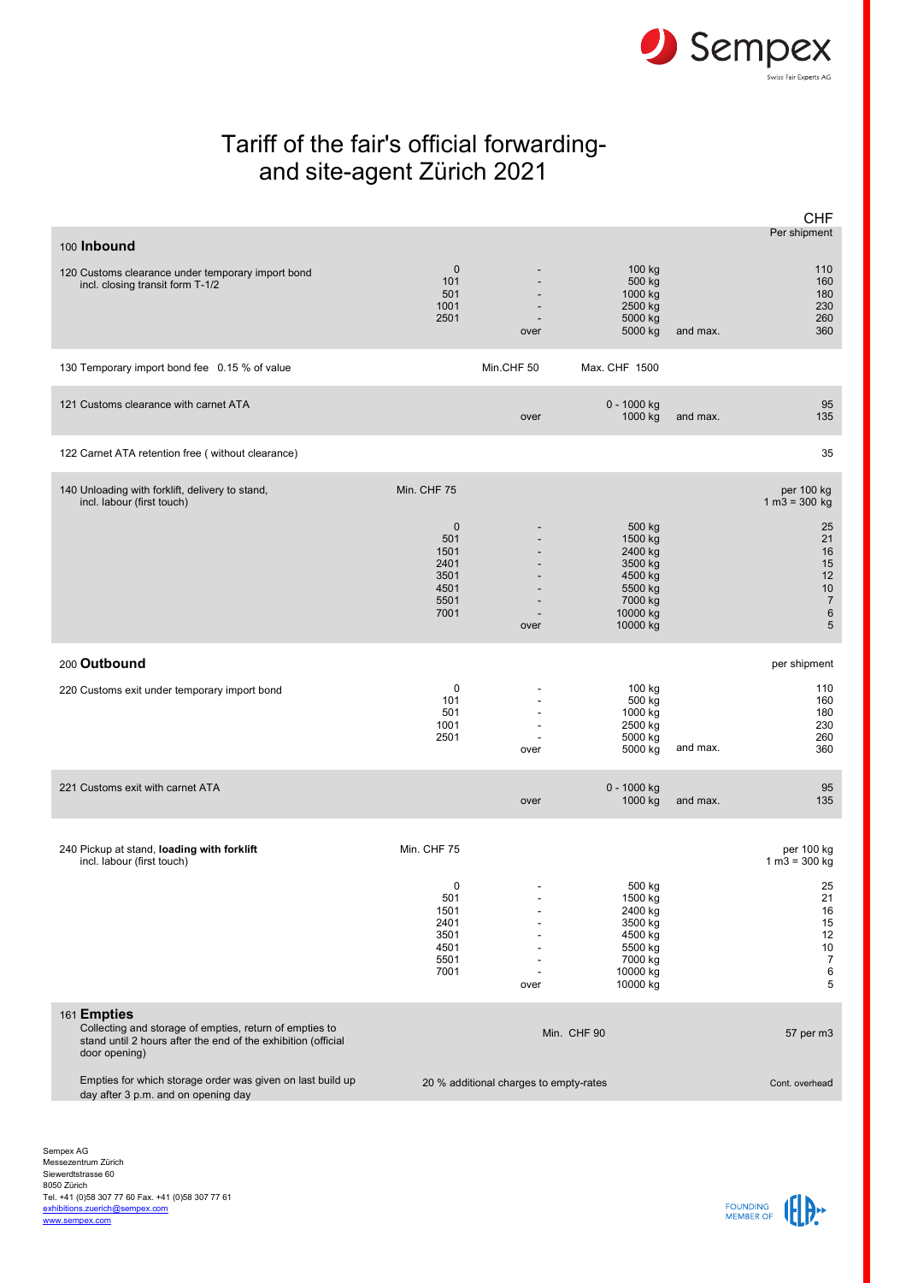

## Tariff of the fair's official forwardingand site-agent Zürich 2021

|                                                                                                                                                          |                                                                         |            |                                                                                                  |          | <b>CHF</b>                                                                                        |
|----------------------------------------------------------------------------------------------------------------------------------------------------------|-------------------------------------------------------------------------|------------|--------------------------------------------------------------------------------------------------|----------|---------------------------------------------------------------------------------------------------|
| 100 Inbound                                                                                                                                              |                                                                         |            |                                                                                                  |          | Per shipment                                                                                      |
| 120 Customs clearance under temporary import bond<br>incl. closing transit form T-1/2                                                                    | $\mathbf 0$<br>101<br>501<br>1001<br>2501                               | over       | 100 kg<br>500 kg<br>1000 kg<br>2500 kg<br>5000 kg<br>5000 kg                                     | and max. | 110<br>160<br>180<br>230<br>260<br>360                                                            |
| 130 Temporary import bond fee 0.15 % of value                                                                                                            |                                                                         | Min.CHF 50 | Max. CHF 1500                                                                                    |          |                                                                                                   |
| 121 Customs clearance with carnet ATA                                                                                                                    |                                                                         | over       | 0 - 1000 kg<br>1000 kg                                                                           | and max. | 95<br>135                                                                                         |
| 122 Carnet ATA retention free (without clearance)                                                                                                        |                                                                         |            |                                                                                                  |          | 35                                                                                                |
| 140 Unloading with forklift, delivery to stand,<br>incl. labour (first touch)                                                                            | Min. CHF 75                                                             |            |                                                                                                  |          | per 100 kg<br>$1 m3 = 300 kg$                                                                     |
|                                                                                                                                                          | $\mathbf 0$<br>501<br>1501<br>2401<br>3501<br>4501<br>5501<br>7001      | over       | 500 kg<br>1500 kg<br>2400 kg<br>3500 kg<br>4500 kg<br>5500 kg<br>7000 kg<br>10000 kg<br>10000 kg |          | 25<br>21<br>16<br>15<br>12<br>10<br>$\overline{7}$<br>$6\phantom{1}$<br>5                         |
| 200 Outbound                                                                                                                                             |                                                                         |            |                                                                                                  |          | per shipment                                                                                      |
| 220 Customs exit under temporary import bond                                                                                                             | 0<br>101<br>501<br>1001<br>2501                                         | over       | 100 kg<br>500 kg<br>1000 kg<br>2500 kg<br>5000 kg<br>5000 kg                                     | and max. | 110<br>160<br>180<br>230<br>260<br>360                                                            |
| 221 Customs exit with carnet ATA                                                                                                                         |                                                                         | over       | 0 - 1000 kg<br>1000 kg                                                                           | and max. | 95<br>135                                                                                         |
| 240 Pickup at stand, loading with forklift<br>incl. labour (first touch)                                                                                 | Min. CHF 75<br>0<br>501<br>1501<br>2401<br>3501<br>4501<br>5501<br>7001 | over       | 500 kg<br>1500 kg<br>2400 kg<br>3500 kg<br>4500 kg<br>5500 kg<br>7000 kg<br>10000 kg<br>10000 kg |          | per 100 kg<br>$1 m3 = 300 kg$<br>25<br>21<br>16<br>15<br>12<br>$10\,$<br>$\overline{7}$<br>6<br>5 |
| 161 Empties<br>Collecting and storage of empties, return of empties to<br>stand until 2 hours after the end of the exhibition (official<br>door opening) |                                                                         |            | Min. CHF 90                                                                                      |          | 57 per m3                                                                                         |
| Empties for which storage order was given on last build up<br>day after 3 p.m. and on opening day                                                        | 20 % additional charges to empty-rates                                  |            |                                                                                                  |          | Cont. overhead                                                                                    |